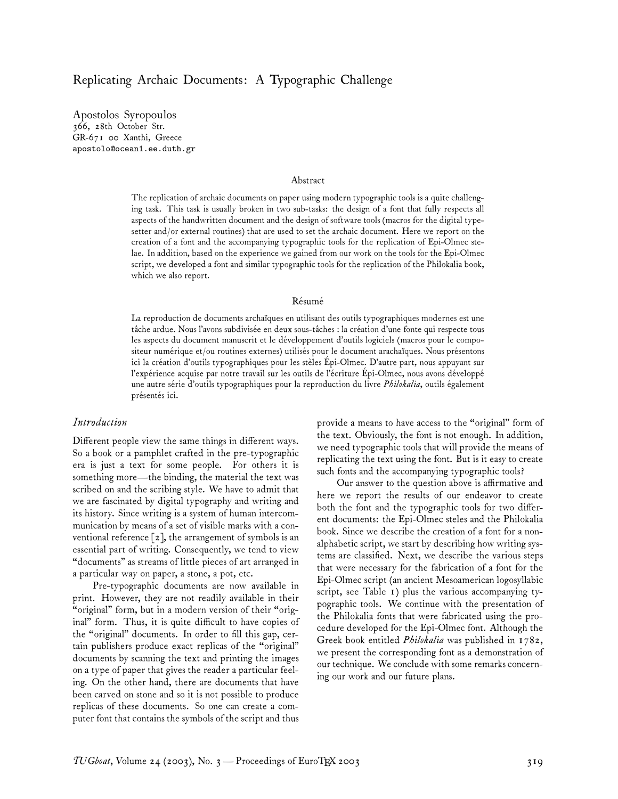# Replicating Archaic Documents: A Typographic Challenge

Apostolos Syropoulos 366, 28th October Str. GR-671 00 Xanthi, Greece apostolo@ocean1.ee.duth.gr

#### Abstract

The replication of archaic documents on paper using modern typographic tools is a quite challenging task. This task is usually broken in two sub-tasks: the design of a font that fully respects all aspects of the handwritten document and the design of software tools (macros for the digital typesetter and/or external routines) that are used to set the archaic document. Here we report on the creation of a font and the accompanying typographic tools for the replication of Epi-Olmec stelae. In addition, based on the experience we gained from our work on the tools for the Epi-Olmec script, we developed a font and similar typographic tools for the replication of the Philokalia book, which we also report.

#### Résumé

La reproduction de documents archaïques en utilisant des outils typographiques modernes est une tâche ardue. Nous l'avons subdivisée en deux sous-tâches : la création d'une fonte qui respecte tous les aspects du document manuscrit et le développement d'outils logiciels (macros pour le compositeur numérique et/ou routines externes) utilisés pour le document arachaïques. Nous présentons ici la création d'outils typographiques pour les stèles Épi-Olmec. D'autre part, nous appuyant sur l'expérience acquise par notre travail sur les outils de l'écriture Épi-Olmec, nous avons développé une autre série d'outils typographiques pour la reproduction du livre *Philokalia*, outils également présentés ici.

#### *Introduction*

Different people view the same things in different ways. So a book or a pamphlet crafted in the pre-typographic era is just a text for some people. For others it is something more—the binding, the material the text was scribed on and the scribing style. We have to admit that we are fascinated by digital typography and writing and its history. Since writing is a system of human intercommunication by means of a set of visible marks with a conventional reference  $\lceil 2 \rceil$ , the arrangement of symbols is an essential part of writing. Consequently, we tend to view "documents" as streams of little pieces of art arranged in a particular way on paper, a stone, a pot, etc.

Pre-typographic documents are now available in print. However, they are not readily available in their "original" form, but in a modern version of their "original" form. Thus, it is quite difficult to have copies of the "original" documents. In order to fill this gap, certain publishers produce exact replicas of the "original" documents by scanning the text and printing the images on a type of paper that gives the reader a particular feeling. On the other hand, there are documents that have been carved on stone and so it is not possible to produce replicas of these documents. So one can create a computer font that contains the symbols of the script and thus provide a means to have access to the "original" form of the text. Obviously, the font is not enough. In addition, we need typographic tools that will provide the means of replicating the text using the font. But is it easy to create such fonts and the accompanying typographic tools?

Our answer to the question above is affirmative and here we report the results of our endeavor to create both the font and the typographic tools for two different documents: the Epi-Olmec steles and the Philokalia book. Since we describe the creation of a font for a nonalphabetic script, we start by describing how writing systems are classified. Next, we describe the various steps that were necessary for the fabrication of a font for the Epi-Olmec script (an ancient Mesoamerican logosyllabic script, see Table 1) plus the various accompanying typographic tools. We continue with the presentation of the Philokalia fonts that were fabricated using the procedure developed for the Epi-Olmec font. Although the Greek book entitled *Philokalia* was published in 1782, we present the corresponding font as a demonstration of our technique. We conclude with some remarks concerning our work and our future plans.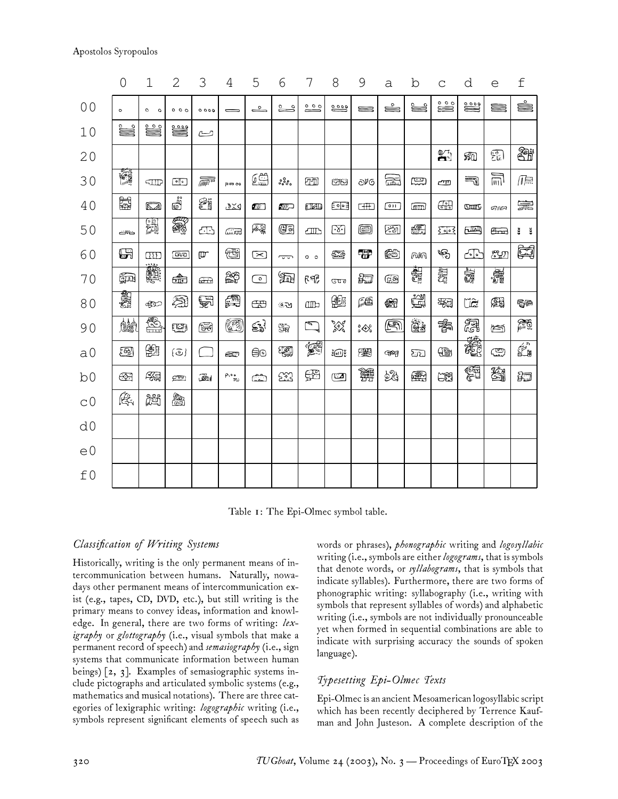|                | $\overline{O}$ | 1                   | $\overline{2}$                      | 3              | 4         | 5                              | 6                        | 7                        | 8                                 | 9                                                                                                                                                                                                                                                                                                                                                                                                                                                                                                                                                                                                                                                | a                      | b   | $\overline{C}$   | d            | $\in$     | $\ensuremath{\mathsf{f}}$ |
|----------------|----------------|---------------------|-------------------------------------|----------------|-----------|--------------------------------|--------------------------|--------------------------|-----------------------------------|--------------------------------------------------------------------------------------------------------------------------------------------------------------------------------------------------------------------------------------------------------------------------------------------------------------------------------------------------------------------------------------------------------------------------------------------------------------------------------------------------------------------------------------------------------------------------------------------------------------------------------------------------|------------------------|-----|------------------|--------------|-----------|---------------------------|
| 0 <sub>0</sub> | $\circ$        | o<br>$\circ$        | 000                                 | 0000           |           | $\overset{\circ}{\phantom{a}}$ | ٶ<br>$\overline{C}$      | 0.00                     | $rac{0}{2}$                       | $\,=\,$                                                                                                                                                                                                                                                                                                                                                                                                                                                                                                                                                                                                                                          | ≝                      | ≝   | 000<br>≡         | ▒            | ≡         | ė                         |
| 10             | Ë              | Ë                   | ≝                                   | ى              |           |                                |                          |                          |                                   |                                                                                                                                                                                                                                                                                                                                                                                                                                                                                                                                                                                                                                                  |                        |     |                  |              |           |                           |
| 20             |                |                     |                                     |                |           |                                |                          |                          |                                   |                                                                                                                                                                                                                                                                                                                                                                                                                                                                                                                                                                                                                                                  |                        |     | $\mathbb{Z}$     | 痴            | 鄙         | St                        |
| 30             | <b>Ma</b>      | <b>SIID</b>         | $\bullet$                           | $\overline{m}$ | (0.00000) | ØË                             | ಀೢೢೢ                     | m                        | <b>ÖU</b>                         | ව#ග                                                                                                                                                                                                                                                                                                                                                                                                                                                                                                                                                                                                                                              | 盃                      | ⑬   | ست               | F            | 凹         | 爬                         |
| 40             | H              | Q                   | $\mathbb{B}$                        | £ï             | ىمى       | $\mathbb{Z}$                   | WE                       | EMB                      | $E$ olee                          | ŒŦ                                                                                                                                                                                                                                                                                                                                                                                                                                                                                                                                                                                                                                               | $\overline{\bullet}$   | (mm | Gil              | <b>SHILL</b> | ดาเค      | 諞                         |
| 50             | كالك           | 鼺                   | 屬                                   | Æ              | هتنته     | 乸                              | Œā                       | dIN                      | $\lceil \cdot \cdot \cdot \rceil$ | $\textcolor{red}{\textcolor{blue}{\textcolor{blue}{\textcolor{blue}{\textcolor{blue}{\textcolor{blue}{\textcolor{blue}{\textcolor{blue}{\textcolor{blue}{\textcolor{blue}{\textcolor{blue}{\textcolor{blue}{\textcolor{blue}{\textcolor{blue}{\textcolor{blue}{\textcolor{blue}{\textcolor{blue}{\textcolor{blue}{\textcolor{blue}{\textcolor{blue}{\textcolor{blue}{\textcolor{blue}{\textcolor{blue}{\textcolor{blue}{\textcolor{blue}{\textcolor{blue}{\textcolor{blue}{\textcolor{blue}{\textcolor{blue}{\textcolor{blue}{\textcolor{blue}{\textcolor{blue}{\textcolor{blue}{\textcolor{blue}{\textcolor{blue}{\textcolor{blue}{\textcolor{$ | النجبا                 | e.  | $\sum$ o $\zeta$ | المللح       | find      | ំដូ<br>ã                  |
| 60             | 册              | $\overline{\Omega}$ | g                                   | $\mathbb{U}$   | ₩         | $\boxtimes$                    | $\overline{\phantom{0}}$ | $\circ$ $\circ$          | 露                                 | ₩                                                                                                                                                                                                                                                                                                                                                                                                                                                                                                                                                                                                                                                | 18                     | ഢി  | ఱ                | <u> - T-</u> | <u>rn</u> | É                         |
| 70             | 嗣              | No.                 | fû                                  | ٣Ð             | 29        | $\overline{\circ}$             | 冠                        | ၉၉၉                      | তেম্ব                             | 師                                                                                                                                                                                                                                                                                                                                                                                                                                                                                                                                                                                                                                                | Œa                     | S.  | SHE              | 氯酸           | S.        |                           |
| 80             | 劖              | <b>BO</b>           | €                                   | 异              | A         | ŒÐ                             | ় ড                      | $\mathbb{Z}$             | 鄽                                 | ŗÉ                                                                                                                                                                                                                                                                                                                                                                                                                                                                                                                                                                                                                                               | 61                     | 熊   | 瞬                | Űà           | 顧         | 5                         |
| 90             | 鱸              | Ŝ.                  | 醞                                   | 旁              | Ø         | SN                             | क्षु                     | $\overline{\phantom{0}}$ | XX                                | $\partial \hat{\mathcal{C}}$                                                                                                                                                                                                                                                                                                                                                                                                                                                                                                                                                                                                                     | $\circled{\mathbb{R}}$ | Ö.  | 鷭                | 磊            | Ħ         | 鱈                         |
| a <sub>0</sub> | 國              | 鼩                   | (ම)                                 |                | æm        | ⊜⊙                             | 嚠                        | 鹤                        | เ้อง                              | 圈                                                                                                                                                                                                                                                                                                                                                                                                                                                                                                                                                                                                                                                | GSH                    | තිව | $\mathbb{Q}$     | 臡            | ١         | Ź                         |
| b <sub>0</sub> | ⊕              | 磶                   | $\mathbb{C}^{\overline{\mathbf{u}}$ |                | م•م<br>سم | شتا                            | ££                       | 系                        | $\mathbb{Z}$                      | 饠                                                                                                                                                                                                                                                                                                                                                                                                                                                                                                                                                                                                                                                | 24                     | 圈   | <b>AR</b>        | <b>CET</b>   | 篘         | 肺                         |
| C <sub>0</sub> | Æ,             | 档                   | â,                                  |                |           |                                |                          |                          |                                   |                                                                                                                                                                                                                                                                                                                                                                                                                                                                                                                                                                                                                                                  |                        |     |                  |              |           |                           |
| d0             |                |                     |                                     |                |           |                                |                          |                          |                                   |                                                                                                                                                                                                                                                                                                                                                                                                                                                                                                                                                                                                                                                  |                        |     |                  |              |           |                           |
| e <sub>0</sub> |                |                     |                                     |                |           |                                |                          |                          |                                   |                                                                                                                                                                                                                                                                                                                                                                                                                                                                                                                                                                                                                                                  |                        |     |                  |              |           |                           |
| £0             |                |                     |                                     |                |           |                                |                          |                          |                                   |                                                                                                                                                                                                                                                                                                                                                                                                                                                                                                                                                                                                                                                  |                        |     |                  |              |           |                           |

Table 1: The Epi-Olmec symbol table.

### Classification of Writing Systems

Historically, writing is the only permanent means of intercommunication between humans. Naturally, nowadays other permanent means of intercommunication exist (e.g., tapes, CD, DVD, etc.), but still writing is the primary means to convey ideas, information and knowledge. In general, there are two forms of writing: lex*igraphy* or *glottography* (i.e., visual symbols that make a permanent record of speech) and semasiography (i.e., sign systems that communicate information between human beings)  $\lceil 2, 3 \rceil$ . Examples of semasiographic systems include pictographs and articulated symbolic systems (e.g., mathematics and musical notations). There are three categories of lexigraphic writing: logographic writing (i.e., symbols represent significant elements of speech such as

words or phrases), *phonographic* writing and logosyllabic writing (i.e., symbols are either logograms, that is symbols that denote words, or syllabograms, that is symbols that indicate syllables). Furthermore, there are two forms of phonographic writing: syllabography (i.e., writing with symbols that represent syllables of words) and alphabetic writing (i.e., symbols are not individually pronounceable yet when formed in sequential combinations are able to indicate with surprising accuracy the sounds of spoken language).

### Typesetting Epi-Olmec Texts

Epi-Olmec is an ancient Mesoamerican logosyllabic script which has been recently deciphered by Terrence Kaufman and John Justeson. A complete description of the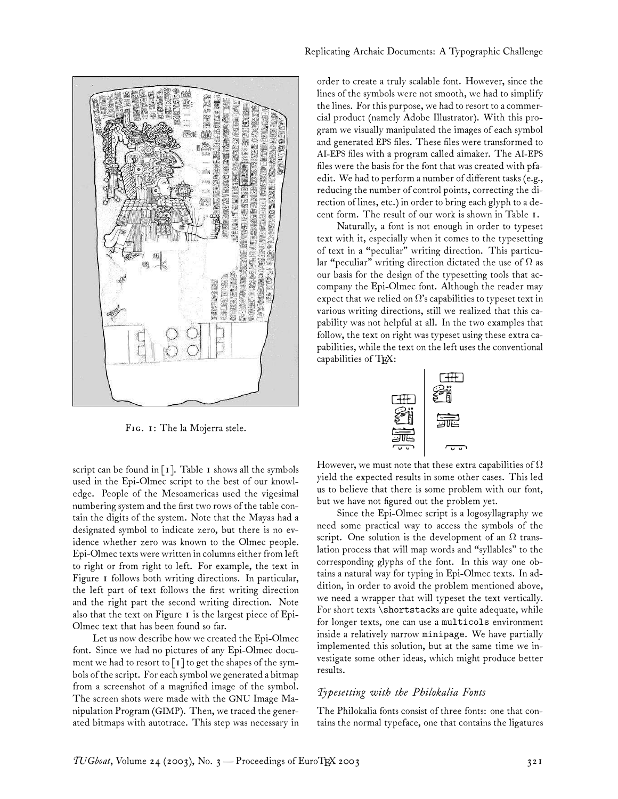

FIG. I: The la Mojerra stele.

order to create a truly scalable font. However, since the lines of the symbols were not smooth, we had to simplify the lines. For this purpose, we had to resort to a commercial product (namely Adobe Illustrator). With this program we visually manipulated the images of each symbol and generated EPS files. These files were transformed to AI-EPS files with a program called aimaker. The AI-EPS files were the basis for the font that was created with pfaedit. We had to perform a number of different tasks (e.g., reducing the number of control points, correcting the direction of lines, etc.) in order to bring each glyph to a decent form. The result of our work is shown in Table 1.

Naturally, a font is not enough in order to typeset text with it, especially when it comes to the typesetting of text in a "peculiar" writing direction. This particular "peculiar" writing direction dictated the use of  $\Omega$  as our basis for the design of the typesetting tools that accompany the Epi-Olmec font. Although the reader may expect that we relied on  $\Omega$ 's capabilities to typeset text in various writing directions, still we realized that this capability was not helpful at all. In the two examples that follow, the text on right was typeset using these extra capabilities, while the text on the left uses the conventional capabilities of TEX:



script can be found in  $[I]$ . Table 1 shows all the symbols used in the Epi-Olmec script to the best of our knowledge. People of the Mesoamericas used the vigesimal numbering system and the first two rows of the table contain the digits of the system. Note that the Mayas had a designated symbol to indicate zero, but there is no evidence whether zero was known to the Olmec people. Epi-Olmec texts were written in columns either from left to right or from right to left. For example, the text in Figure 1 follows both writing directions. In particular, the left part of text follows the first writing direction and the right part the second writing direction. Note also that the text on Figure  $\bar{I}$  is the largest piece of Epi-Olmec text that has been found so far.

Let us now describe how we created the Epi-Olmec font. Since we had no pictures of any Epi-Olmec document we had to resort to  $\lceil 1 \rceil$  to get the shapes of the symbols of the script. For each symbol we generated a bitmap from a screenshot of a magnified image of the symbol. The screen shots were made with the GNU Image Manipulation Program (GIMP). Then, we traced the generated bitmaps with autotrace. This step was necessary in However, we must note that these extra capabilities of  $\Omega$ yield the expected results in some other cases. This led us to believe that there is some problem with our font, but we have not figured out the problem yet.

Since the Epi-Olmec script is a logosyllagraphy we need some practical way to access the symbols of the script. One solution is the development of an  $\Omega$  translation process that will map words and "syllables" to the corresponding glyphs of the font. In this way one obtains a natural way for typing in Epi-Olmec texts. In addition, in order to avoid the problem mentioned above, we need a wrapper that will typeset the text vertically. For short texts \shortstacks are quite adequate, while for longer texts, one can use a multicols environment inside a relatively narrow minipage. We have partially implemented this solution, but at the same time we investigate some other ideas, which might produce better results.

#### *Typesetting with the Philokalia Fonts*

The Philokalia fonts consist of three fonts: one that contains the normal typeface, one that contains the ligatures